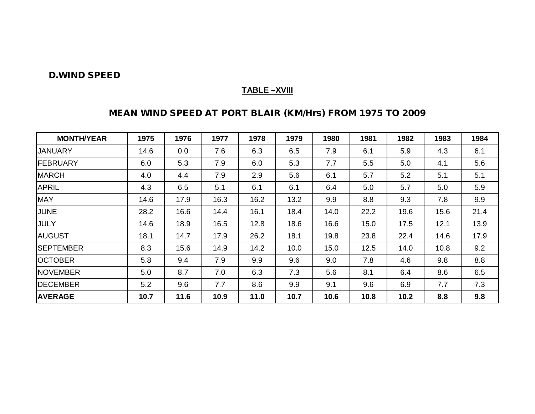#### **D.WIND SPEED**

#### **TABLE –XVIII**

# **MEAN WIND SPEED AT PORT BLAIR (KM/Hrs) FROM 1975 TO 2009**

| <b>MONTH/YEAR</b> | 1975 | 1976 | 1977 | 1978 | 1979 | 1980 | 1981 | 1982 | 1983 | 1984 |
|-------------------|------|------|------|------|------|------|------|------|------|------|
| <b>JANUARY</b>    | 14.6 | 0.0  | 7.6  | 6.3  | 6.5  | 7.9  | 6.1  | 5.9  | 4.3  | 6.1  |
| <b>IFEBRUARY</b>  | 6.0  | 5.3  | 7.9  | 6.0  | 5.3  | 7.7  | 5.5  | 5.0  | 4.1  | 5.6  |
| <b>MARCH</b>      | 4.0  | 4.4  | 7.9  | 2.9  | 5.6  | 6.1  | 5.7  | 5.2  | 5.1  | 5.1  |
| <b>APRIL</b>      | 4.3  | 6.5  | 5.1  | 6.1  | 6.1  | 6.4  | 5.0  | 5.7  | 5.0  | 5.9  |
| <b>MAY</b>        | 14.6 | 17.9 | 16.3 | 16.2 | 13.2 | 9.9  | 8.8  | 9.3  | 7.8  | 9.9  |
| <b>JUNE</b>       | 28.2 | 16.6 | 14.4 | 16.1 | 18.4 | 14.0 | 22.2 | 19.6 | 15.6 | 21.4 |
| <b>JULY</b>       | 14.6 | 18.9 | 16.5 | 12.8 | 18.6 | 16.6 | 15.0 | 17.5 | 12.1 | 13.9 |
| <b>AUGUST</b>     | 18.1 | 14.7 | 17.9 | 26.2 | 18.1 | 19.8 | 23.8 | 22.4 | 14.6 | 17.9 |
| <b>ISEPTEMBER</b> | 8.3  | 15.6 | 14.9 | 14.2 | 10.0 | 15.0 | 12.5 | 14.0 | 10.8 | 9.2  |
| <b>OCTOBER</b>    | 5.8  | 9.4  | 7.9  | 9.9  | 9.6  | 9.0  | 7.8  | 4.6  | 9.8  | 8.8  |
| <b>INOVEMBER</b>  | 5.0  | 8.7  | 7.0  | 6.3  | 7.3  | 5.6  | 8.1  | 6.4  | 8.6  | 6.5  |
| <b>DECEMBER</b>   | 5.2  | 9.6  | 7.7  | 8.6  | 9.9  | 9.1  | 9.6  | 6.9  | 7.7  | 7.3  |
| <b>AVERAGE</b>    | 10.7 | 11.6 | 10.9 | 11.0 | 10.7 | 10.6 | 10.8 | 10.2 | 8.8  | 9.8  |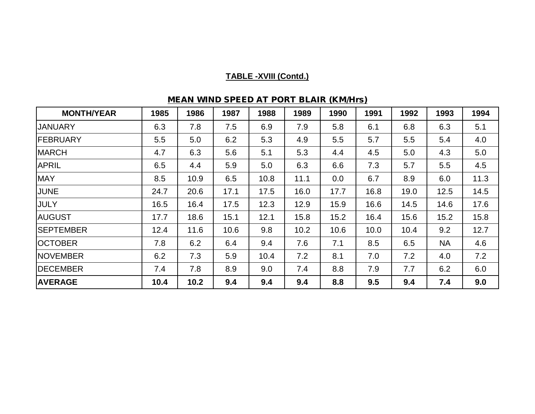# **TABLE -XVIII (Contd.)**

| <b>MONTH/YEAR</b> | 1985 | 1986 | 1987 | 1988 | 1989 | 1990 | 1991 | 1992 | 1993      | 1994 |
|-------------------|------|------|------|------|------|------|------|------|-----------|------|
| <b>JANUARY</b>    | 6.3  | 7.8  | 7.5  | 6.9  | 7.9  | 5.8  | 6.1  | 6.8  | 6.3       | 5.1  |
| FEBRUARY          | 5.5  | 5.0  | 6.2  | 5.3  | 4.9  | 5.5  | 5.7  | 5.5  | 5.4       | 4.0  |
| <b>MARCH</b>      | 4.7  | 6.3  | 5.6  | 5.1  | 5.3  | 4.4  | 4.5  | 5.0  | 4.3       | 5.0  |
| <b>APRIL</b>      | 6.5  | 4.4  | 5.9  | 5.0  | 6.3  | 6.6  | 7.3  | 5.7  | 5.5       | 4.5  |
| <b>MAY</b>        | 8.5  | 10.9 | 6.5  | 10.8 | 11.1 | 0.0  | 6.7  | 8.9  | 6.0       | 11.3 |
| <b>JUNE</b>       | 24.7 | 20.6 | 17.1 | 17.5 | 16.0 | 17.7 | 16.8 | 19.0 | 12.5      | 14.5 |
| JULY              | 16.5 | 16.4 | 17.5 | 12.3 | 12.9 | 15.9 | 16.6 | 14.5 | 14.6      | 17.6 |
| <b>AUGUST</b>     | 17.7 | 18.6 | 15.1 | 12.1 | 15.8 | 15.2 | 16.4 | 15.6 | 15.2      | 15.8 |
| <b>SEPTEMBER</b>  | 12.4 | 11.6 | 10.6 | 9.8  | 10.2 | 10.6 | 10.0 | 10.4 | 9.2       | 12.7 |
| <b>OCTOBER</b>    | 7.8  | 6.2  | 6.4  | 9.4  | 7.6  | 7.1  | 8.5  | 6.5  | <b>NA</b> | 4.6  |
| <b>NOVEMBER</b>   | 6.2  | 7.3  | 5.9  | 10.4 | 7.2  | 8.1  | 7.0  | 7.2  | 4.0       | 7.2  |
| <b>IDECEMBER</b>  | 7.4  | 7.8  | 8.9  | 9.0  | 7.4  | 8.8  | 7.9  | 7.7  | 6.2       | 6.0  |
| <b>AVERAGE</b>    | 10.4 | 10.2 | 9.4  | 9.4  | 9.4  | 8.8  | 9.5  | 9.4  | 7.4       | 9.0  |

## **MEAN WIND SPEED AT PORT BLAIR (KM/Hrs)**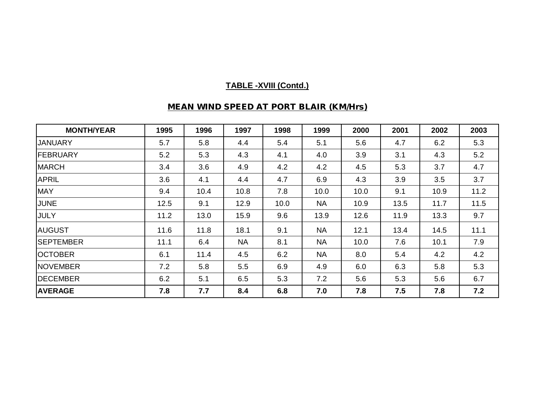## **TABLE -XVIII (Contd.)**

## **MEAN WIND SPEED AT PORT BLAIR (KM/Hrs)**

| <b>MONTH/YEAR</b> | 1995 | 1996 | 1997      | 1998 | 1999      | 2000 | 2001 | 2002 | 2003 |
|-------------------|------|------|-----------|------|-----------|------|------|------|------|
| <b>JANUARY</b>    | 5.7  | 5.8  | 4.4       | 5.4  | 5.1       | 5.6  | 4.7  | 6.2  | 5.3  |
| <b>FEBRUARY</b>   | 5.2  | 5.3  | 4.3       | 4.1  | 4.0       | 3.9  | 3.1  | 4.3  | 5.2  |
| <b>MARCH</b>      | 3.4  | 3.6  | 4.9       | 4.2  | 4.2       | 4.5  | 5.3  | 3.7  | 4.7  |
| <b>APRIL</b>      | 3.6  | 4.1  | 4.4       | 4.7  | 6.9       | 4.3  | 3.9  | 3.5  | 3.7  |
| <b>MAY</b>        | 9.4  | 10.4 | 10.8      | 7.8  | 10.0      | 10.0 | 9.1  | 10.9 | 11.2 |
| JUNE              | 12.5 | 9.1  | 12.9      | 10.0 | <b>NA</b> | 10.9 | 13.5 | 11.7 | 11.5 |
| <b>JULY</b>       | 11.2 | 13.0 | 15.9      | 9.6  | 13.9      | 12.6 | 11.9 | 13.3 | 9.7  |
| <b>AUGUST</b>     | 11.6 | 11.8 | 18.1      | 9.1  | <b>NA</b> | 12.1 | 13.4 | 14.5 | 11.1 |
| <b>SEPTEMBER</b>  | 11.1 | 6.4  | <b>NA</b> | 8.1  | <b>NA</b> | 10.0 | 7.6  | 10.1 | 7.9  |
| <b>OCTOBER</b>    | 6.1  | 11.4 | 4.5       | 6.2  | <b>NA</b> | 8.0  | 5.4  | 4.2  | 4.2  |
| <b>NOVEMBER</b>   | 7.2  | 5.8  | 5.5       | 6.9  | 4.9       | 6.0  | 6.3  | 5.8  | 5.3  |
| <b>IDECEMBER</b>  | 6.2  | 5.1  | 6.5       | 5.3  | 7.2       | 5.6  | 5.3  | 5.6  | 6.7  |
| <b>AVERAGE</b>    | 7.8  | 7.7  | 8.4       | 6.8  | 7.0       | 7.8  | 7.5  | 7.8  | 7.2  |